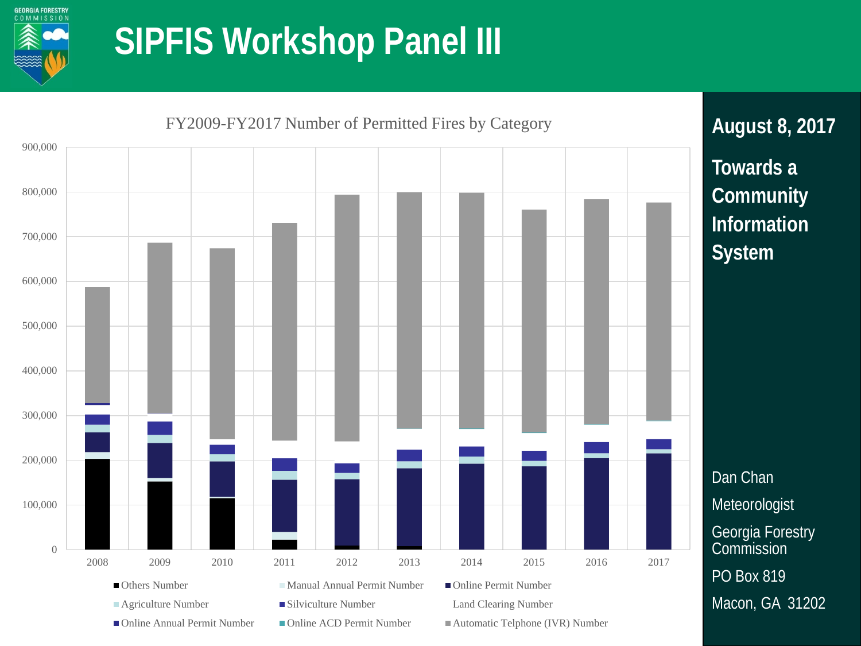

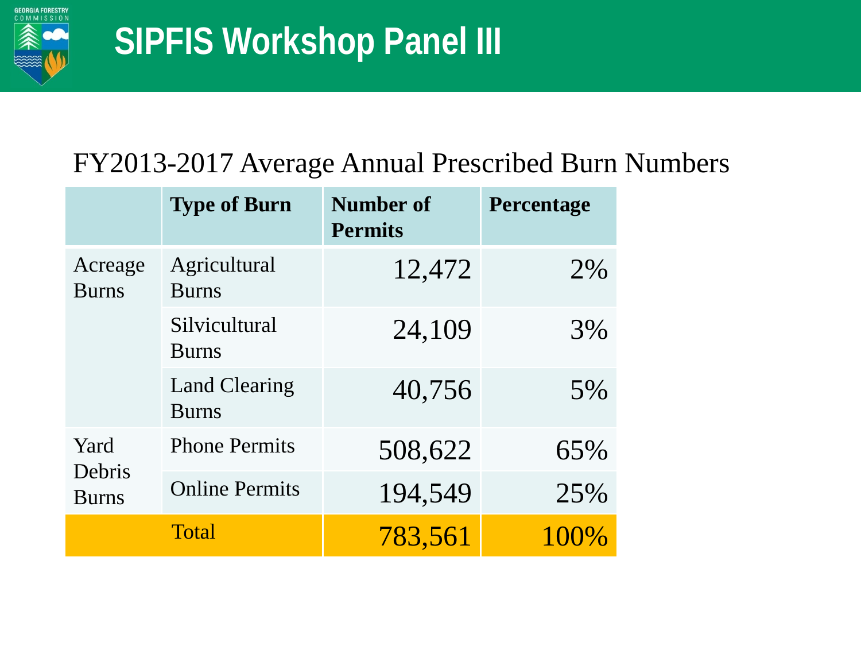

#### FY2013-2017 Average Annual Prescribed Burn Numbers

|                                | <b>Type of Burn</b>                  | <b>Number of</b><br><b>Permits</b> | Percentage |
|--------------------------------|--------------------------------------|------------------------------------|------------|
| Acreage<br><b>Burns</b>        | Agricultural<br><b>Burns</b>         | 12,472                             | 2%         |
|                                | Silvicultural<br><b>Burns</b>        | 24,109                             | 3%         |
|                                | <b>Land Clearing</b><br><b>Burns</b> | 40,756                             | 5%         |
| Yard<br>Debris<br><b>Burns</b> | <b>Phone Permits</b>                 | 508,622                            | 65%        |
|                                | <b>Online Permits</b>                | 194,549                            | 25%        |
|                                | <b>Total</b>                         | 783,561                            | $100\%$    |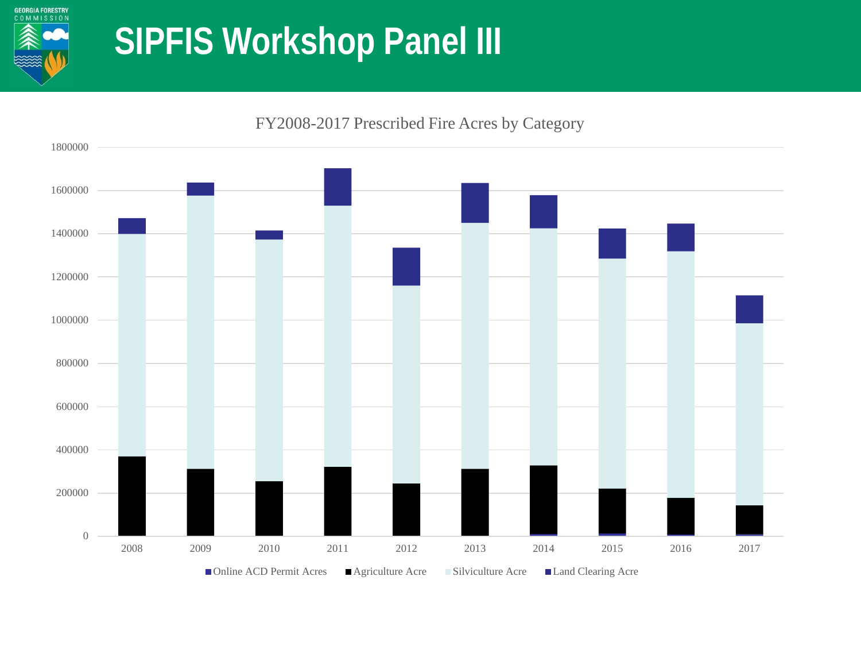

 2009 2010 2011 2012 2013 2014 2015 2016 2017 ■Online ACD Permit Acres ■ Agriculture Acre ■ Silviculture Acre ■ Land Clearing Acre

FY2008-2017 Prescribed Fire Acres by Category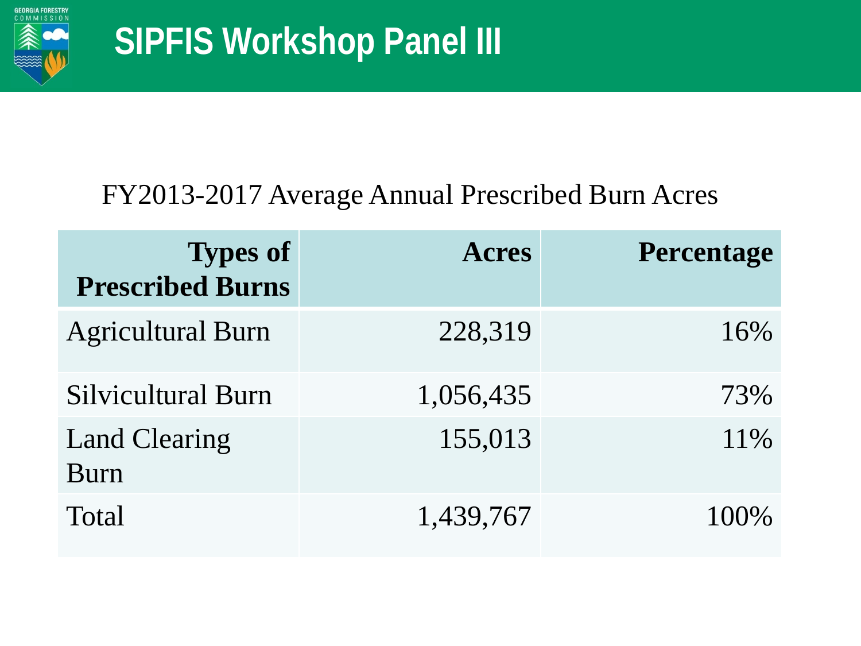

#### FY2013-2017 Average Annual Prescribed Burn Acres

| <b>Types of</b><br><b>Prescribed Burns</b> | <b>Acres</b> | <b>Percentage</b> |
|--------------------------------------------|--------------|-------------------|
| <b>Agricultural Burn</b>                   | 228,319      | 16%               |
| <b>Silvicultural Burn</b>                  | 1,056,435    | 73%               |
| <b>Land Clearing</b><br>Burn               | 155,013      | 11\%              |
| <b>Total</b>                               | 1,439,767    | $100\%$           |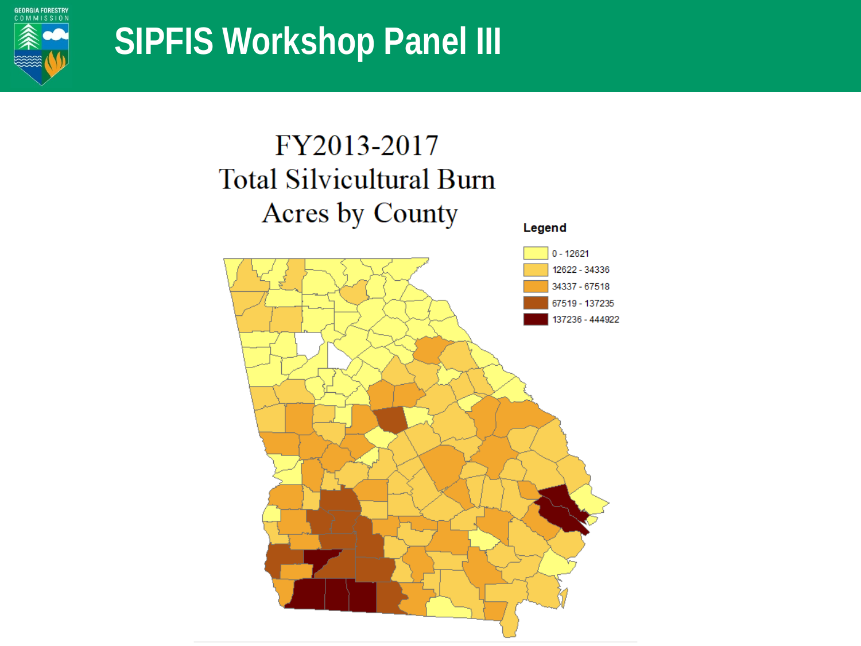

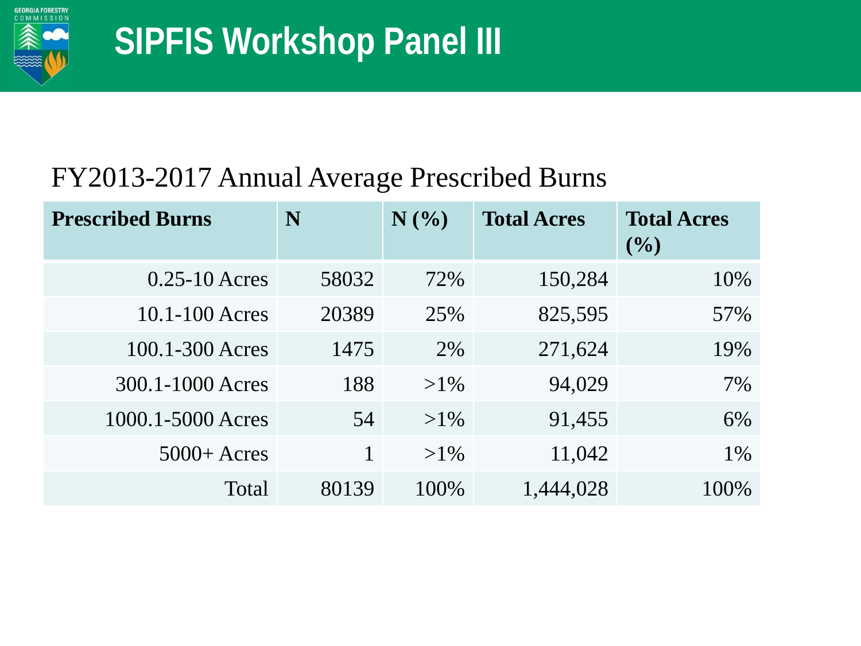

### FY2013-2017 Annual Average Prescribed Burns

| <b>Prescribed Burns</b> | N     | N(%    | <b>Total Acres</b> | <b>Total Acres</b><br>$($ %) |
|-------------------------|-------|--------|--------------------|------------------------------|
| $0.25 - 10$ Acres       | 58032 | 72%    | 150,284            | 10%                          |
| 10.1-100 Acres          | 20389 | 25%    | 825,595            | 57%                          |
| 100.1-300 Acres         | 1475  | 2%     | 271,624            | 19%                          |
| 300.1-1000 Acres        | 188   | $>1\%$ | 94,029             | 7%                           |
| 1000.1-5000 Acres       | 54    | $>1\%$ | 91,455             | 6%                           |
| $5000 +$ Acres          |       | $>1\%$ | 11,042             | 1%                           |
| Total                   | 80139 | 100\%  | 1,444,028          | 100%                         |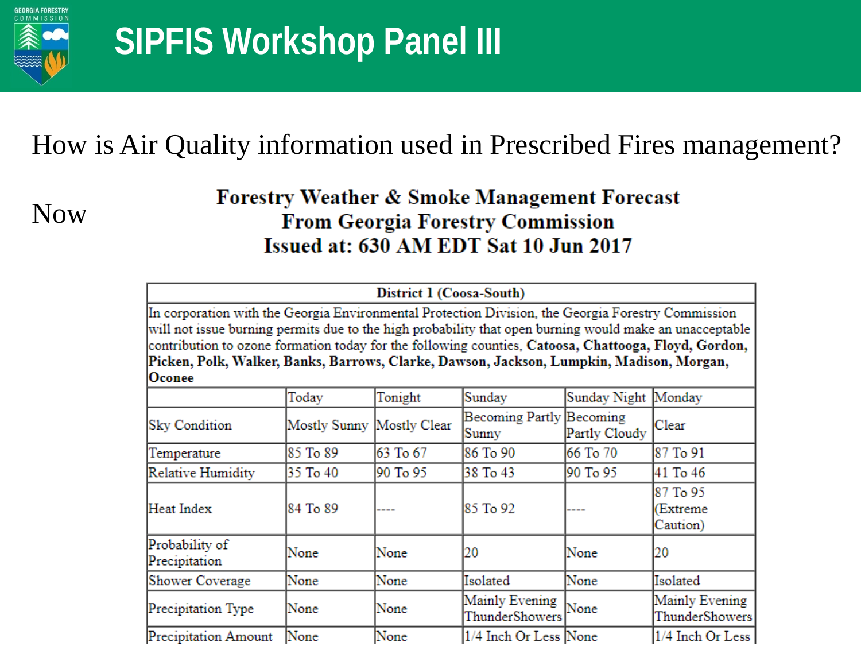

### How is Air Quality information used in Prescribed Fires management?

Now:

#### **Forestry Weather & Smoke Management Forecast From Georgia Forestry Commission** Issued at: 630 AM EDT Sat 10 Jun 2017

|                                                                                                                                                                                                                                                                                                                                                                                                                             |                           | District 1 (Coosa-South) |                                   |                     |                                  |
|-----------------------------------------------------------------------------------------------------------------------------------------------------------------------------------------------------------------------------------------------------------------------------------------------------------------------------------------------------------------------------------------------------------------------------|---------------------------|--------------------------|-----------------------------------|---------------------|----------------------------------|
| In corporation with the Georgia Environmental Protection Division, the Georgia Forestry Commission<br>will not issue burning permits due to the high probability that open burning would make an unacceptable<br>contribution to ozone formation today for the following counties, Catoosa, Chattooga, Floyd, Gordon,<br>Picken, Polk, Walker, Banks, Barrows, Clarke, Dawson, Jackson, Lumpkin, Madison, Morgan,<br>Oconee |                           |                          |                                   |                     |                                  |
|                                                                                                                                                                                                                                                                                                                                                                                                                             | Today                     | Tonight                  | Sunday                            | Sunday Night Monday |                                  |
| <b>Sky Condition</b>                                                                                                                                                                                                                                                                                                                                                                                                        | Mostly Sunny Mostly Clear |                          | Becoming Partly Becoming<br>Sunny | Partly Cloudy       | Clear                            |
| Temperature                                                                                                                                                                                                                                                                                                                                                                                                                 | 85 To 89                  | 63 To 67                 | 86 To 90                          | 66 To 70            | 87 To 91                         |
| Relative Humidity                                                                                                                                                                                                                                                                                                                                                                                                           | 35 To 40                  | 90 To 95                 | 38 To 43                          | 90 To 95            | 41 To 46                         |
| Heat Index                                                                                                                                                                                                                                                                                                                                                                                                                  | 84 To 89                  |                          | 85 To 92                          |                     | 87 To 95<br>(Extreme<br>Caution) |
| Probability of<br>Precipitation                                                                                                                                                                                                                                                                                                                                                                                             | None                      | None                     | 20                                | None                | 20                               |
| Shower Coverage                                                                                                                                                                                                                                                                                                                                                                                                             | None                      | None                     | Isolated                          | None                | Isolated                         |
| Precipitation Type                                                                                                                                                                                                                                                                                                                                                                                                          | None                      | None                     | Mainly Evening<br>ThunderShowers  | None                | Mainly Evening<br>ThunderShowers |
| Precipitation Amount                                                                                                                                                                                                                                                                                                                                                                                                        | None                      | None                     | 1/4 Inch Or Less None             |                     | 1/4 Inch Or Less                 |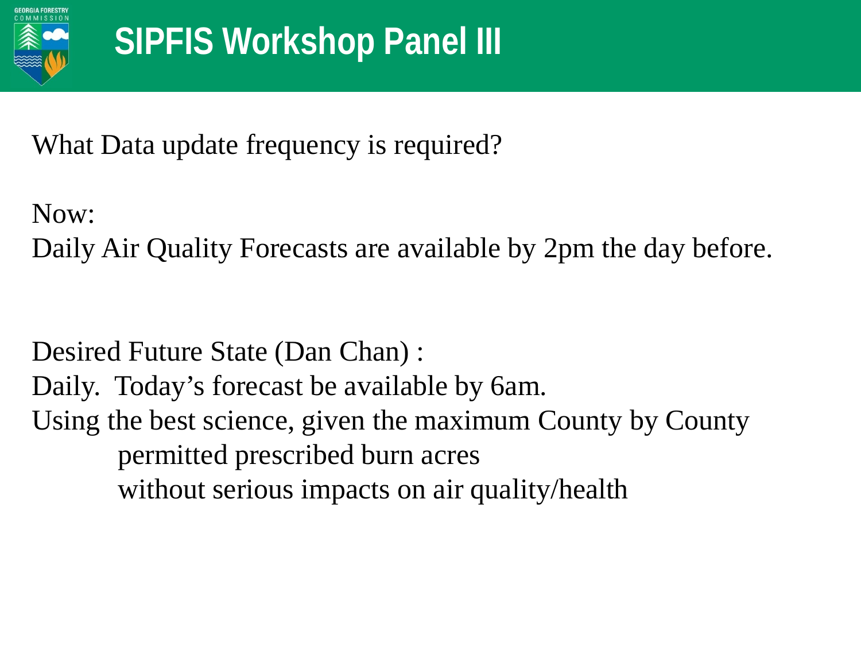

What Data update frequency is required?

Now:

Daily Air Quality Forecasts are available by 2pm the day before.

Desired Future State (Dan Chan) : Daily. Today's forecast be available by 6am. Using the best science, given the maximum County by County permitted prescribed burn acres without serious impacts on air quality/health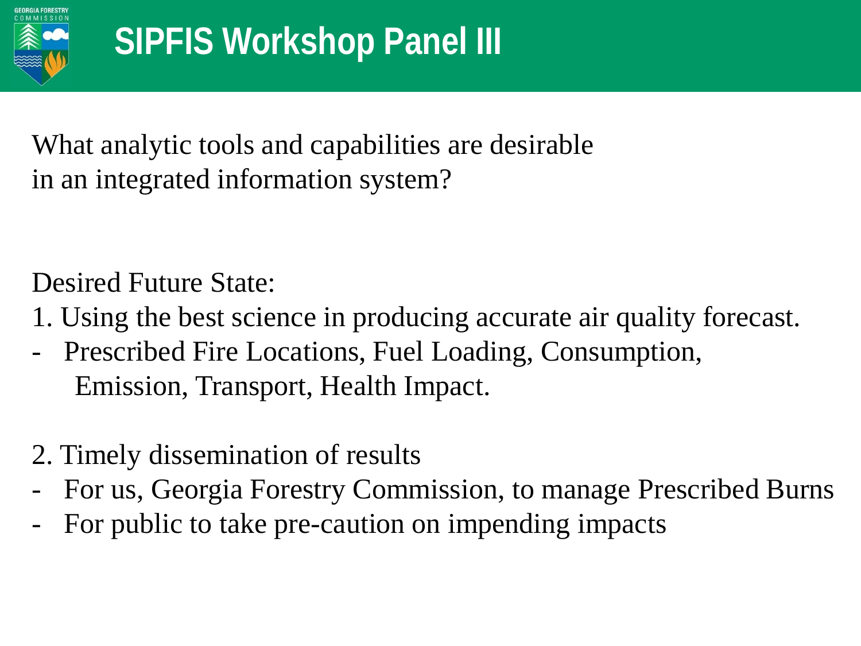

What analytic tools and capabilities are desirable in an integrated information system?

Desired Future State:

- 1. Using the best science in producing accurate air quality forecast.
- Prescribed Fire Locations, Fuel Loading, Consumption, Emission, Transport, Health Impact.
- 2. Timely dissemination of results
- For us, Georgia Forestry Commission, to manage Prescribed Burns
- For public to take pre-caution on impending impacts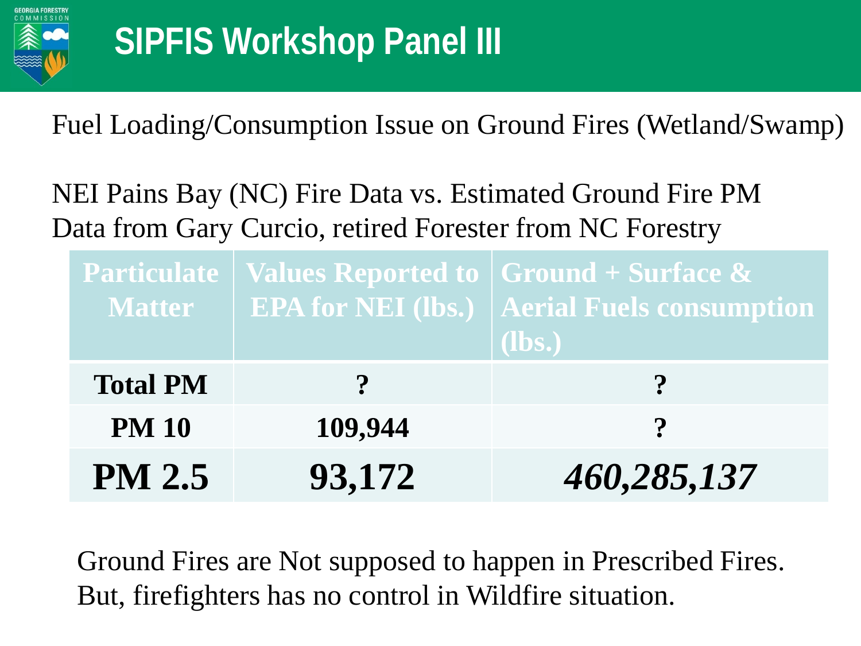

Fuel Loading/Consumption Issue on Ground Fires (Wetland/Swamp)

NEI Pains Bay (NC) Fire Data vs. Estimated Ground Fire PM Data from Gary Curcio, retired Forester from NC Forestry

| <b>Matter</b>   |              | <b>Particulate   Values Reported to <math> </math> Ground + Surface &amp;</b><br><b>EPA for NEI (lbs.)   Aerial Fuels consumption</b><br>$(lbs.)$ |
|-----------------|--------------|---------------------------------------------------------------------------------------------------------------------------------------------------|
| <b>Total PM</b> | $\mathbf{P}$ | $\boldsymbol{\gamma}$                                                                                                                             |
| <b>PM 10</b>    | 109,944      | $\boldsymbol{\eta}$                                                                                                                               |
| <b>PM 2.5</b>   | 93,172       | 460,285,137                                                                                                                                       |

Ground Fires are Not supposed to happen in Prescribed Fires. But, firefighters has no control in Wildfire situation.